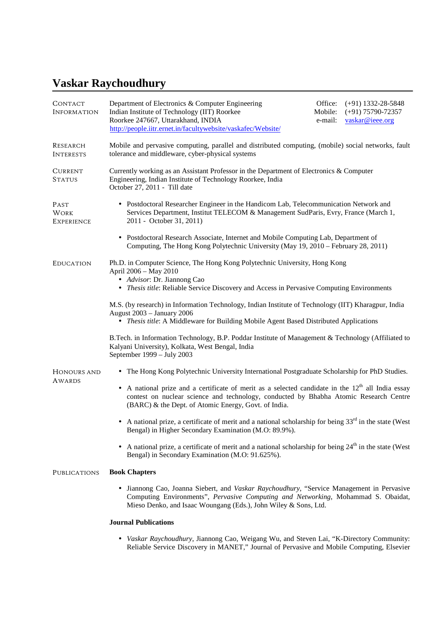# **Vaskar Raychoudhury**

| CONTACT<br><b>INFORMATION</b>            | Department of Electronics & Computer Engineering<br>Indian Institute of Technology (IIT) Roorkee<br>Roorkee 247667, Uttarakhand, INDIA<br>http://people.iitr.ernet.in/facultywebsite/vaskafec/Website/                                                         | Office:<br>Mobile:<br>e-mail: | $(+91)$ 1332-28-5848<br>$(+91)$ 75790-72357<br>vaskar@ieee.org |  |
|------------------------------------------|----------------------------------------------------------------------------------------------------------------------------------------------------------------------------------------------------------------------------------------------------------------|-------------------------------|----------------------------------------------------------------|--|
| RESEARCH<br><b>INTERESTS</b>             | Mobile and pervasive computing, parallel and distributed computing, (mobile) social networks, fault<br>tolerance and middleware, cyber-physical systems                                                                                                        |                               |                                                                |  |
| <b>CURRENT</b><br><b>STATUS</b>          | Currently working as an Assistant Professor in the Department of Electronics & Computer<br>Engineering, Indian Institute of Technology Roorkee, India<br>October 27, 2011 - Till date                                                                          |                               |                                                                |  |
| PAST<br><b>WORK</b><br><b>EXPERIENCE</b> | • Postdoctoral Researcher Engineer in the Handicom Lab, Telecommunication Network and<br>Services Department, Institut TELECOM & Management SudParis, Evry, France (March 1,<br>2011 - October 31, 2011)                                                       |                               |                                                                |  |
|                                          | • Postdoctoral Research Associate, Internet and Mobile Computing Lab, Department of<br>Computing, The Hong Kong Polytechnic University (May 19, 2010 – February 28, 2011)                                                                                      |                               |                                                                |  |
| <b>EDUCATION</b>                         | Ph.D. in Computer Science, The Hong Kong Polytechnic University, Hong Kong<br>April 2006 - May 2010<br>• Advisor: Dr. Jiannong Cao<br>• Thesis title: Reliable Service Discovery and Access in Pervasive Computing Environments                                |                               |                                                                |  |
|                                          | M.S. (by research) in Information Technology, Indian Institute of Technology (IIT) Kharagpur, India<br><b>August 2003 - January 2006</b><br>• Thesis title: A Middleware for Building Mobile Agent Based Distributed Applications                              |                               |                                                                |  |
|                                          | B.Tech. in Information Technology, B.P. Poddar Institute of Management & Technology (Affiliated to<br>Kalyani University), Kolkata, West Bengal, India<br>September 1999 - July 2003                                                                           |                               |                                                                |  |
| HONOURS AND<br>AWARDS                    | • The Hong Kong Polytechnic University International Postgraduate Scholarship for PhD Studies.                                                                                                                                                                 |                               |                                                                |  |
|                                          | • A national prize and a certificate of merit as a selected candidate in the 12 <sup>th</sup> all India essay<br>contest on nuclear science and technology, conducted by Bhabha Atomic Research Centre<br>(BARC) & the Dept. of Atomic Energy, Govt. of India. |                               |                                                                |  |
|                                          | • A national prize, a certificate of merit and a national scholarship for being $33rd$ in the state (West<br>Bengal) in Higher Secondary Examination (M.O: 89.9%).                                                                                             |                               |                                                                |  |
|                                          | A national prize, a certificate of merit and a national scholarship for being $24th$ in the state (West<br>Bengal) in Secondary Examination (M.O: 91.625%).                                                                                                    |                               |                                                                |  |
| <b>PUBLICATIONS</b>                      | <b>Book Chapters</b>                                                                                                                                                                                                                                           |                               |                                                                |  |
|                                          | • Jiannong Cao, Joanna Siebert, and Vaskar Raychoudhury, "Service Management in Pervasive<br>Computing Environments", Pervasive Computing and Networking, Mohammad S. Obaidat,<br>Mieso Denko, and Isaac Woungang (Eds.), John Wiley & Sons, Ltd.              |                               |                                                                |  |
|                                          | <b>Journal Publications</b>                                                                                                                                                                                                                                    |                               |                                                                |  |

 *Vaskar Raychoudhury*, Jiannong Cao, Weigang Wu, and Steven Lai, "K-Directory Community: Reliable Service Discovery in MANET," Journal of Pervasive and Mobile Computing, Elsevier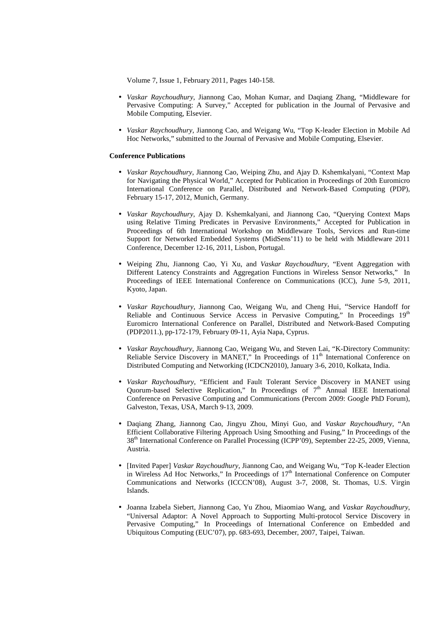Volume 7, Issue 1, February 2011, Pages 140-158.

- *Vaskar Raychoudhury*, Jiannong Cao, Mohan Kumar, and Daqiang Zhang, "Middleware for Pervasive Computing: A Survey," Accepted for publication in the Journal of Pervasive and Mobile Computing, Elsevier.
- *Vaskar Raychoudhury*, Jiannong Cao, and Weigang Wu, "Top K-leader Election in Mobile Ad Hoc Networks," submitted to the Journal of Pervasive and Mobile Computing, Elsevier.

## **Conference Publications**

- *Vaskar Raychoudhury*, Jiannong Cao, Weiping Zhu, and Ajay D. Kshemkalyani, "Context Map for Navigating the Physical World," Accepted for Publication in Proceedings of 20th Euromicro International Conference on Parallel, Distributed and Network-Based Computing (PDP), February 15-17, 2012, Munich, Germany.
- *Vaskar Raychoudhury*, Ajay D. Kshemkalyani, and Jiannong Cao, "Querying Context Maps using Relative Timing Predicates in Pervasive Environments," Accepted for Publication in Proceedings of 6th International Workshop on Middleware Tools, Services and Run-time Support for Networked Embedded Systems (MidSens'11) to be held with Middleware 2011 Conference, December 12-16, 2011, Lisbon, Portugal.
- Weiping Zhu, Jiannong Cao, Yi Xu, and *Vaskar Raychoudhury*, "Event Aggregation with Different Latency Constraints and Aggregation Functions in Wireless Sensor Networks," In Proceedings of IEEE International Conference on Communications (ICC), June 5-9, 2011, Kyoto, Japan.
- *Vaskar Raychoudhury*, Jiannong Cao, Weigang Wu, and Cheng Hui, "Service Handoff for Reliable and Continuous Service Access in Pervasive Computing," In Proceedings  $19<sup>th</sup>$ Euromicro International Conference on Parallel, Distributed and Network-Based Computing (PDP2011.), pp-172-179, February 09-11, Ayia Napa, Cyprus.
- *Vaskar Raychoudhury*, Jiannong Cao, Weigang Wu, and Steven Lai, "K-Directory Community: Reliable Service Discovery in MANET," In Proceedings of 11<sup>th</sup> International Conference on Distributed Computing and Networking (ICDCN2010), January 3-6, 2010, Kolkata, India.
- *Vaskar Raychoudhury*, "Efficient and Fault Tolerant Service Discovery in MANET using Quorum-based Selective Replication," In Proceedings of  $7<sup>th</sup>$  Annual IEEE International Conference on Pervasive Computing and Communications (Percom 2009: Google PhD Forum), Galveston, Texas, USA, March 9-13, 2009.
- Daqiang Zhang, Jiannong Cao, Jingyu Zhou, Minyi Guo, and *Vaskar Raychoudhury*, "An Efficient Collaborative Filtering Approach Using Smoothing and Fusing," In Proceedings of the 38th International Conference on Parallel Processing (ICPP'09), September 22-25, 2009, Vienna, Austria.
- [Invited Paper] *Vaskar Raychoudhury*, Jiannong Cao, and Weigang Wu, "Top K-leader Election in Wireless Ad Hoc Networks," In Proceedings of 17<sup>th</sup> International Conference on Computer Communications and Networks (ICCCN'08), August 3-7, 2008, St. Thomas, U.S. Virgin Islands.
- Joanna Izabela Siebert, Jiannong Cao, Yu Zhou, Miaomiao Wang, and *Vaskar Raychoudhury*, "Universal Adaptor: A Novel Approach to Supporting Multi-protocol Service Discovery in Pervasive Computing," In Proceedings of International Conference on Embedded and Ubiquitous Computing (EUC'07), pp. 683-693, December, 2007, Taipei, Taiwan.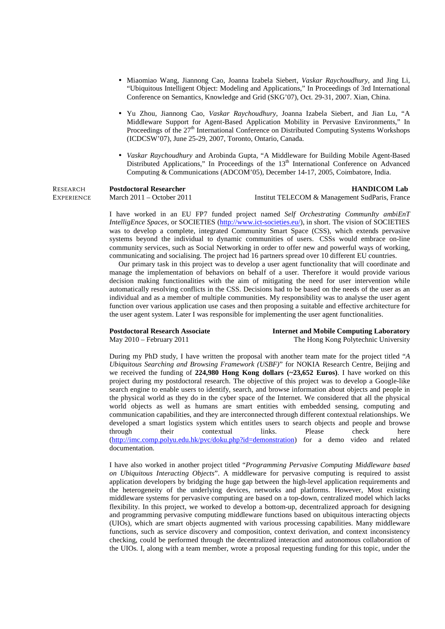- Miaomiao Wang, Jiannong Cao, Joanna Izabela Siebert, *Vaskar Raychoudhury*, and Jing Li, "Ubiquitous Intelligent Object: Modeling and Applications," In Proceedings of 3rd International Conference on Semantics, Knowledge and Grid (SKG'07), Oct. 29-31, 2007. Xian, China.
- Yu Zhou, Jiannong Cao, *Vaskar Raychoudhury*, Joanna Izabela Siebert, and Jian Lu, "A Middleware Support for Agent-Based Application Mobility in Pervasive Environments," In Proceedings of the  $27<sup>th</sup>$  International Conference on Distributed Computing Systems Workshops (ICDCSW'07), June 25-29, 2007, Toronto, Ontario, Canada.
- *Vaskar Raychoudhury* and Arobinda Gupta, "A Middleware for Building Mobile Agent-Based Distributed Applications," In Proceedings of the  $13<sup>th</sup>$  International Conference on Advanced Computing & Communications (ADCOM'05), December 14-17, 2005, Coimbatore, India.

| Research   | <b>Postdoctoral Researcher</b> |
|------------|--------------------------------|
| Experience | March $2011 -$ October $2011$  |

#### **HANDICOM Lab**

**EXPERIENCE** 

Institut TELECOM & Management SudParis, France

I have worked in an EU FP7 funded project named *Self Orchestrating CommunIty ambiEnT IntelligEnce Spaces*, or SOCIETIES (http://www.ict-societies.eu/), in short. The vision of SOCIETIES was to develop a complete, integrated Community Smart Space (CSS), which extends pervasive systems beyond the individual to dynamic communities of users. CSSs would embrace on-line community services, such as Social Networking in order to offer new and powerful ways of working, communicating and socialising. The project had 16 partners spread over 10 different EU countries.

 Our primary task in this project was to develop a user agent functionality that will coordinate and manage the implementation of behaviors on behalf of a user. Therefore it would provide various decision making functionalities with the aim of mitigating the need for user intervention while automatically resolving conflicts in the CSS. Decisions had to be based on the needs of the user as an individual and as a member of multiple communities. My responsibility was to analyse the user agent function over various application use cases and then proposing a suitable and effective architecture for the user agent system. Later I was responsible for implementing the user agent functionalities.

#### **Postdoctoral Research Associate**  May 2010 – February 2011

**Internet and Mobile Computing Laboratory**  The Hong Kong Polytechnic University

During my PhD study, I have written the proposal with another team mate for the project titled "*A Ubiquitous Searching and Browsing Framework (USBF)*" for NOKIA Research Centre, Beijing and we received the funding of **224,980 Hong Kong dollars (~23,652 Euros)**. I have worked on this project during my postdoctoral research. The objective of this project was to develop a Google-like search engine to enable users to identify, search, and browse information about objects and people in the physical world as they do in the cyber space of the Internet. We considered that all the physical world objects as well as humans are smart entities with embedded sensing, computing and communication capabilities, and they are interconnected through different contextual relationships. We developed a smart logistics system which entitles users to search objects and people and browse through their contextual links. Please check here (http://imc.comp.polyu.edu.hk/pvc/doku.php?id=demonstration) for a demo video and related documentation.

I have also worked in another project titled "*Programming Pervasive Computing Middleware based on Ubiquitous Interacting Objects*". A middleware for pervasive computing is required to assist application developers by bridging the huge gap between the high-level application requirements and the heterogeneity of the underlying devices, networks and platforms. However, Most existing middleware systems for pervasive computing are based on a top-down, centralized model which lacks flexibility. In this project, we worked to develop a bottom-up, decentralized approach for designing and programming pervasive computing middleware functions based on ubiquitous interacting objects (UIOs), which are smart objects augmented with various processing capabilities. Many middleware functions, such as service discovery and composition, context derivation, and context inconsistency checking, could be performed through the decentralized interaction and autonomous collaboration of the UIOs. I, along with a team member, wrote a proposal requesting funding for this topic, under the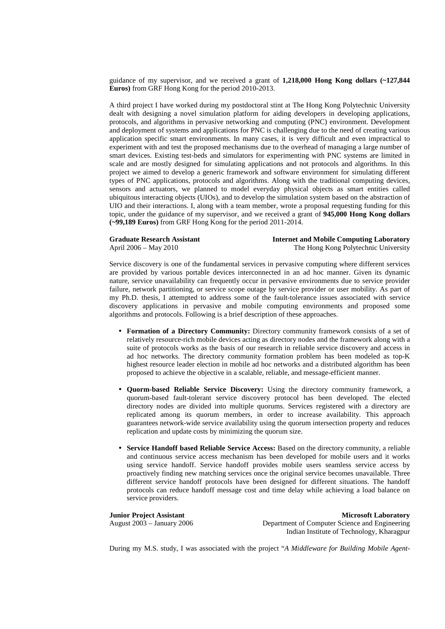guidance of my supervisor, and we received a grant of **1,218,000 Hong Kong dollars (~127,844 Euros)** from GRF Hong Kong for the period 2010-2013.

A third project I have worked during my postdoctoral stint at The Hong Kong Polytechnic University dealt with designing a novel simulation platform for aiding developers in developing applications, protocols, and algorithms in pervasive networking and computing (PNC) environment. Development and deployment of systems and applications for PNC is challenging due to the need of creating various application specific smart environments. In many cases, it is very difficult and even impractical to experiment with and test the proposed mechanisms due to the overhead of managing a large number of smart devices. Existing test-beds and simulators for experimenting with PNC systems are limited in scale and are mostly designed for simulating applications and not protocols and algorithms. In this project we aimed to develop a generic framework and software environment for simulating different types of PNC applications, protocols and algorithms. Along with the traditional computing devices, sensors and actuators, we planned to model everyday physical objects as smart entities called ubiquitous interacting objects (UIOs), and to develop the simulation system based on the abstraction of UIO and their interactions. I, along with a team member, wrote a proposal requesting funding for this topic, under the guidance of my supervisor, and we received a grant of **945,000 Hong Kong dollars (~99,189 Euros)** from GRF Hong Kong for the period 2011-2014.

#### **Graduate Research Assistant**  April 2006 – May 2010

**Internet and Mobile Computing Laboratory**  The Hong Kong Polytechnic University

Service discovery is one of the fundamental services in pervasive computing where different services are provided by various portable devices interconnected in an ad hoc manner. Given its dynamic nature, service unavailability can frequently occur in pervasive environments due to service provider failure, network partitioning, or service scope outage by service provider or user mobility. As part of my Ph.D. thesis, I attempted to address some of the fault-tolerance issues associated with service discovery applications in pervasive and mobile computing environments and proposed some algorithms and protocols. Following is a brief description of these approaches.

- **Formation of a Directory Community:** Directory community framework consists of a set of relatively resource-rich mobile devices acting as directory nodes and the framework along with a suite of protocols works as the basis of our research in reliable service discovery and access in ad hoc networks. The directory community formation problem has been modeled as top-K highest resource leader election in mobile ad hoc networks and a distributed algorithm has been proposed to achieve the objective in a scalable, reliable, and message-efficient manner.
- **Quorm-based Reliable Service Discovery:** Using the directory community framework, a quorum-based fault-tolerant service discovery protocol has been developed. The elected directory nodes are divided into multiple quorums. Services registered with a directory are replicated among its quorum members, in order to increase availability. This approach guarantees network-wide service availability using the quorum intersection property and reduces replication and update costs by minimizing the quorum size.
- **Service Handoff based Reliable Service Access:** Based on the directory community, a reliable and continuous service access mechanism has been developed for mobile users and it works using service handoff. Service handoff provides mobile users seamless service access by proactively finding new matching services once the original service becomes unavailable. Three different service handoff protocols have been designed for different situations. The handoff protocols can reduce handoff message cost and time delay while achieving a load balance on service providers.

**Junior Project Assistant**  August 2003 – January 2006

**Microsoft Laboratory**  Department of Computer Science and Engineering Indian Institute of Technology, Kharagpur

During my M.S. study, I was associated with the project "*A Middleware for Building Mobile Agent-*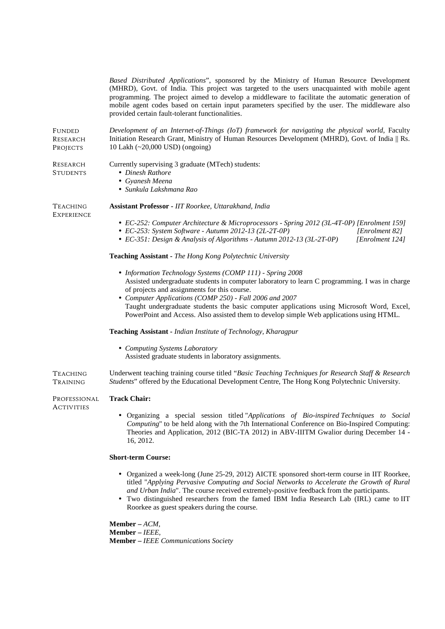*Based Distributed Applications*", sponsored by the Ministry of Human Resource Development (MHRD), Govt. of India. This project was targeted to the users unacquainted with mobile agent programming. The project aimed to develop a middleware to facilitate the automatic generation of mobile agent codes based on certain input parameters specified by the user. The middleware also provided certain fault-tolerant functionalities.

FUNDED RESEARCH PROJECTS *Development of an Internet-of-Things (IoT) framework for navigating the physical world*, Faculty Initiation Research Grant, Ministry of Human Resources Development (MHRD), Govt. of India || Rs. 10 Lakh (~20,000 USD) (ongoing)

| <b>RESEARCH</b><br><b>STUDENTS</b>   | Currently supervising 3 graduate (MTech) students:<br>• Dinesh Rathore<br>• Gyanesh Meena<br>• Sunkula Lakshmana Rao                                                                                                                                                                                                                                                                                                                                                                                                                                                                            |  |  |
|--------------------------------------|-------------------------------------------------------------------------------------------------------------------------------------------------------------------------------------------------------------------------------------------------------------------------------------------------------------------------------------------------------------------------------------------------------------------------------------------------------------------------------------------------------------------------------------------------------------------------------------------------|--|--|
| <b>TEACHING</b><br><b>EXPERIENCE</b> | Assistant Professor - IIT Roorkee, Uttarakhand, India<br>• EC-252: Computer Architecture & Microprocessors - Spring 2012 (3L-4T-0P) [Enrolment 159]<br>• EC-253: System Software - Autumn 2012-13 (2L-2T-0P)<br>[Enrolment 82]<br>• EC-351: Design & Analysis of Algorithms - Autumn 2012-13 (3L-2T-0P)<br>[Enrolment 124]                                                                                                                                                                                                                                                                      |  |  |
|                                      | Teaching Assistant - The Hong Kong Polytechnic University<br>• Information Technology Systems (COMP 111) - Spring 2008<br>Assisted undergraduate students in computer laboratory to learn C programming. I was in charge<br>of projects and assignments for this course.<br>• Computer Applications (COMP 250) - Fall 2006 and 2007<br>Taught undergraduate students the basic computer applications using Microsoft Word, Excel,<br>PowerPoint and Access. Also assisted them to develop simple Web applications using HTML.<br>Teaching Assistant - Indian Institute of Technology, Kharagpur |  |  |
|                                      | • Computing Systems Laboratory<br>Assisted graduate students in laboratory assignments.                                                                                                                                                                                                                                                                                                                                                                                                                                                                                                         |  |  |
| Teaching<br>Training                 | Underwent teaching training course titled "Basic Teaching Techniques for Research Staff & Research<br>Students" offered by the Educational Development Centre, The Hong Kong Polytechnic University.                                                                                                                                                                                                                                                                                                                                                                                            |  |  |
| PROFESSIONAL<br><b>ACTIVITIES</b>    | <b>Track Chair:</b><br>• Organizing a special session titled "Applications of Bio-inspired Techniques to Social<br>Computing" to be held along with the 7th International Conference on Bio-Inspired Computing:<br>Theories and Application, 2012 (BIC-TA 2012) in ABV-IIITM Gwalior during December 14 -<br>16, 2012.<br><b>Short-term Course:</b>                                                                                                                                                                                                                                             |  |  |
|                                      | • Organized a week-long (June 25-29, 2012) AICTE sponsored short-term course in IIT Roorkee,<br>titled "Applying Pervasive Computing and Social Networks to Accelerate the Growth of Rural<br>and Urban India". The course received extremely-positive feedback from the participants.<br>• Two distinguished researchers from the famed IBM India Research Lab (IRL) came to IIT<br>Roorkee as guest speakers during the course.                                                                                                                                                               |  |  |

**Member –** *ACM,*  **Member –** *IEEE,* **Member –** *IEEE Communications Society*